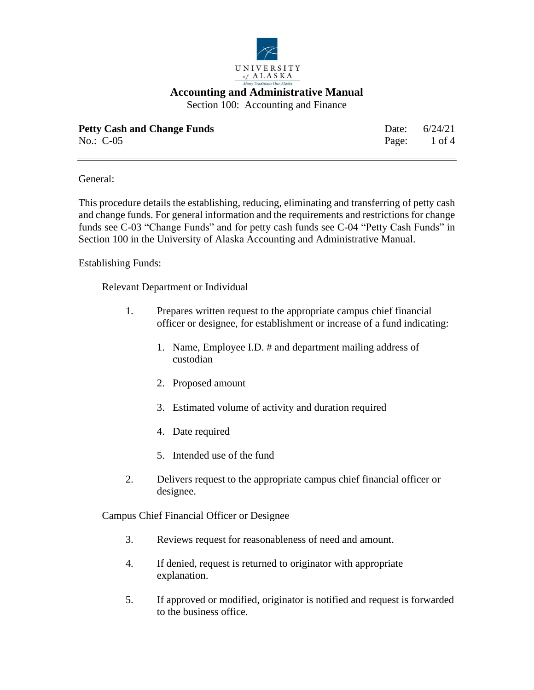

Section 100: Accounting and Finance

| <b>Petty Cash and Change Funds</b> | Date: $6/24/21$ |
|------------------------------------|-----------------|
| No.: $C-05$                        | Page: 1 of 4    |

General:

This procedure details the establishing, reducing, eliminating and transferring of petty cash and change funds. For general information and the requirements and restrictions for change funds see C-03 "Change Funds" and for petty cash funds see C-04 "Petty Cash Funds" in Section 100 in the University of Alaska Accounting and Administrative Manual.

Establishing Funds:

Relevant Department or Individual

- 1. Prepares written request to the appropriate campus chief financial officer or designee, for establishment or increase of a fund indicating:
	- 1. Name, Employee I.D. # and department mailing address of custodian
	- 2. Proposed amount
	- 3. Estimated volume of activity and duration required
	- 4. Date required
	- 5. Intended use of the fund
- 2. Delivers request to the appropriate campus chief financial officer or designee.

Campus Chief Financial Officer or Designee

- 3. Reviews request for reasonableness of need and amount.
- 4. If denied, request is returned to originator with appropriate explanation.
- 5. If approved or modified, originator is notified and request is forwarded to the business office.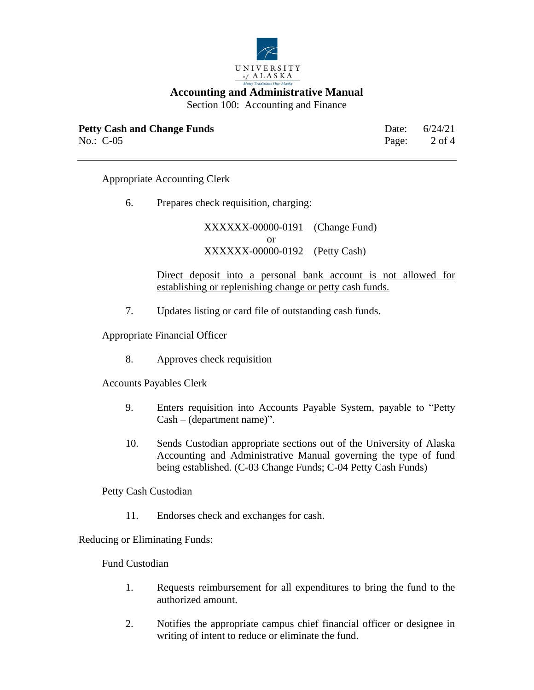

Section 100: Accounting and Finance

| <b>Petty Cash and Change Funds</b> | Date: $6/24/21$         |
|------------------------------------|-------------------------|
| No.: $C-05$                        | Page: $2 \text{ of } 4$ |

Appropriate Accounting Clerk

6. Prepares check requisition, charging:

XXXXXX-00000-0191 (Change Fund) or XXXXXX-00000-0192 (Petty Cash)

Direct deposit into a personal bank account is not allowed for establishing or replenishing change or petty cash funds.

7. Updates listing or card file of outstanding cash funds.

Appropriate Financial Officer

8. Approves check requisition

Accounts Payables Clerk

- 9. Enters requisition into Accounts Payable System, payable to "Petty Cash – (department name)".
- 10. Sends Custodian appropriate sections out of the University of Alaska Accounting and Administrative Manual governing the type of fund being established. (C-03 Change Funds; C-04 Petty Cash Funds)

Petty Cash Custodian

11. Endorses check and exchanges for cash.

Reducing or Eliminating Funds:

Fund Custodian

- 1. Requests reimbursement for all expenditures to bring the fund to the authorized amount.
- 2. Notifies the appropriate campus chief financial officer or designee in writing of intent to reduce or eliminate the fund.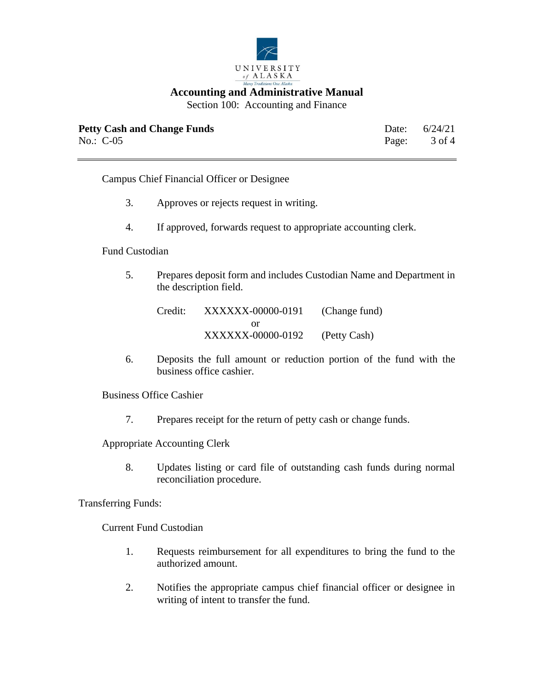

Section 100: Accounting and Finance

| <b>Petty Cash and Change Funds</b> | Date: $6/24/21$ |
|------------------------------------|-----------------|
| No.: $C-05$                        | Page: 3 of 4    |

Campus Chief Financial Officer or Designee

- 3. Approves or rejects request in writing.
- 4. If approved, forwards request to appropriate accounting clerk.

## Fund Custodian

5. Prepares deposit form and includes Custodian Name and Department in the description field.

Credit: XXXXXX-00000-0191 (Change fund) or XXXXXX-00000-0192 (Petty Cash)

6. Deposits the full amount or reduction portion of the fund with the business office cashier.

Business Office Cashier

7. Prepares receipt for the return of petty cash or change funds.

Appropriate Accounting Clerk

8. Updates listing or card file of outstanding cash funds during normal reconciliation procedure.

Transferring Funds:

Current Fund Custodian

- 1. Requests reimbursement for all expenditures to bring the fund to the authorized amount.
- 2. Notifies the appropriate campus chief financial officer or designee in writing of intent to transfer the fund.